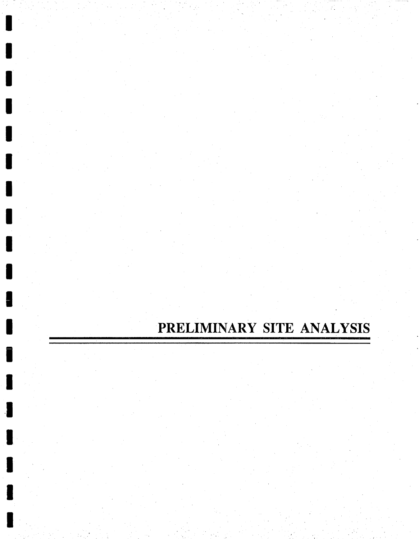# PRELIMINARY SITE ANALYSIS

R

H

I

H

 $\blacksquare$ 

I

I

Î

П

I

I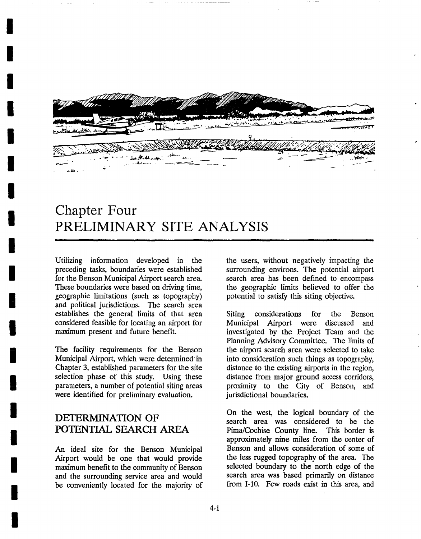

## **Chapter Four PRELIMINARY SITE ANALYSIS**

Utilizing information developed in the preceding tasks, boundaries were established for the Benson Municipal Airport search area. These boundaries were based on driving time, geographic limitations (such as topography) and political jurisdictions. The search area establishes the general limits of that area considered feasible for locating an airport for maximum present and future benefit.

*I* 

*I* 

*I* 

*I* 

*I* 

*I* 

*I* 

*I* 

*I* 

*I* 

*!* 

*I* 

*i* 

*!* 

*I* 

*I* 

*I* 

*I* 

*I* 

The facility requirements for the Benson Municipal Airport, which were determined in Chapter 3, established parameters for the site selection phase of this study. Using these parameters, a number of potential siting areas were identified for preliminary evaluation.

## **DETERMINATION OF**  POTENTIAL SEARCH AREA

An ideal site for the Benson Municipal Airport would be one that would provide maximum benefit to the community of Benson and the surrounding service area and would be conveniently located for the majority of the users, without negatively impacting the surrounding environs. The potential airport search area has been defined to encompass the geographic limits believed to offer the potential to satisfy this siting objective.

Siting considerations for the Benson Municipal Airport were discussed and investigated by the Project Team and the Planning Advisory Committee. The limits of the airport search area were selected to take into consideration such things as topography, distance to the existing airports in the region, distance from major ground access corridors, proximity to the City of Benson, and jurisdictional boundaries.

On the west, the logical boundary of the search area was considered to be the Pima/Cochise County line. This border is approximately nine miles from the center of Benson and allows consideration of some of the less rugged topography of the area. The selected boundary to the north edge of the search area was based primarily on distance from 1-10. Few roads exist in this area, and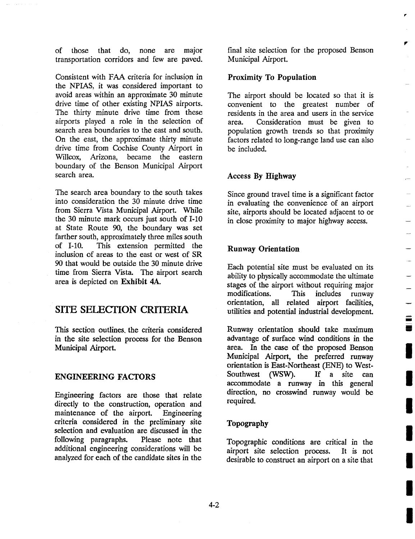of those that do, none are major transportation corridors and few are paved.

Consistent with FAA criteria for inclusion in the NPIAS, it was considered important to avoid areas within an approximate 30 minute drive time of other existing NPIAS airports. The thirty minute drive time from these airports played a role in the selection of search area boundaries to the east and south. On the east, the approximate thirty minute drive time from Cochise County Airport in Willcox, Arizona, became the eastern boundary of the Benson Municipal Airport search area.

The search area boundary to the south takes into consideration the 30 minute drive time from Sierra Vista Municipal Airport. While the 30 minute mark occurs just south of 1-10 at State Route 90, the boundary was set farther south, approximately three miles south of 1-10. This extension permitted the inclusion of areas to the east or west of SR 90 that would be outside the 30 minute drive time from Sierra Vista. The airport search area is depicted on Exhibit 4A.

## SITE SELECTION CRITERIA

This section outlines, the criteria considered in the site selection process for the Benson Municipal Airport.

#### ENGINEERING FACTORS

Engineering factors are those that relate directly to the construction, operation and maintenance of the airport. Engineering criteria considered in the preliminary site selection and evaluation are discussed in the following paragraphs. Please note that additional engineering considerations will be analyzed for each of the candidate sites in the

final site selection for the proposed Benson Municipal Airport.

Iv

Ξ Ē

#### Proximity To Population

The airport should be located so that it is convenient to the greatest number of residents in the area and users in the service area. Consideration must be given to population growth trends so that proximity factors related to long-range land use can also be included.

#### Access By Highway

Since ground travel time is a significant factor in evaluating the convenience of an airport site, airports should be located adjacent to or in close proximity to major highway access.

#### **Runway Orientation**

Each potential site must be evaluated on its ability to physically accommodate the ultimate stages of the airport without requiring major modifications. This includes runway orientation, all related airport facilities, utilities and potential industrial development.

Runway orientation should take maximum advantage of surface wind conditions in the area. In the case of the proposed Benson Municipal Airport, the preferred runway orientation is East-Northeast (ENE) to West-Southwest (WSW). If a site can accommodate a runway in this general direction, no crosswind runway would be required.

#### Topography

Topographic conditions are critical in the airport site selection process. It is not desirable to construct an airport on a site that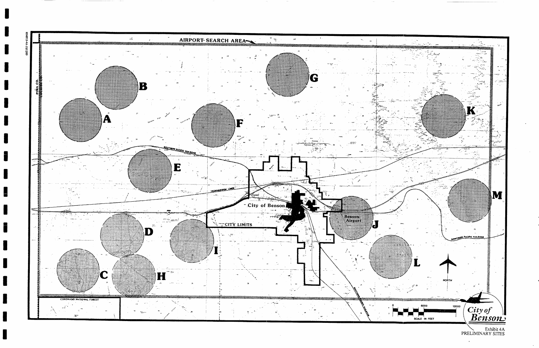š

**I** 



**\ Exhibit** 4A PRELIMINARY SITES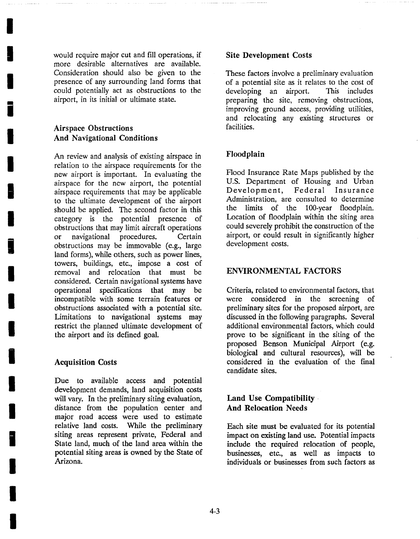would require major cut and fill operations, if more desirable alternatives are available. Consideration should also be given to the presence of any surrounding land forms that could potentially act as obstructions to the airport, in its initial or ultimate state.

## **Airspace Obstructions**  And Navigational **Conditions**

**I** 

**I** 

**I** 

**i** 

**I** 

**I** 

**I** 

**I** 

**i** 

**I** 

**I** 

**I** 

**i** 

**I** 

**I** 

**i** 

**I** 

**I** 

**I** 

An review and analysis of existing airspace in relation to the airspace requirements for the new airport is important. In evaluating the airspace for the new airport, the potential airspace requirements that may be applicable to the ultimate development of the airport should be applied. The second factor in this category is the potential presence of obstructions that may limit aircraft operations or navigational procedures. Certain obstructions may be immovable (e.g., large land forms), while others, such as power lines, towers, buildings, etc., impose a cost of removal and relocation that must be considered. Certain navigational systems have operational specifications that may be incompatible with some terrain features or obstructions associated with a potential site. Limitations to navigational systems may restrict the planned ultimate development of the airport and its defined goal.

## **Acquisition Costs**

Due to available access and potential development demands, land acquisition costs will vary. In the preliminary siting evaluation, distance from the population center and major road access were used to estimate relative land costs. While the preliminary siting areas represent private, Federal and State land, much of the land area within the potential siting areas is owned by the State of Arizona.

#### **Site Development** Costs

These factors involve a preliminary evaluation of a potential site as it relates to the cost of developing an airport. This includes preparing the site, removing obstructions, improving ground access, providing utilities, and relocating any existing structures or facilities.

## **Floodplain**

Flood Insurance Rate Maps published by the U.S. Department of Housing and Urban Development, Federal Insurance Administration, are consulted to determine the limits of the 100-year floodplain. Location of floodplain within the siting area could severely prohibit the construction of the airport, or could result in significantly higher development costs.

#### ENVIRONMENTAL FACTORS

Criteria, related to environmental factors, that were considered in the screening of preliminary sites for the proposed airport, are discussed in the following paragraphs. Several additional environmental factors, which could prove to be significant in the siting of the proposed Benson Municipal Airport (e.g. biological and cultural resources), will be considered in the evaluation of the final candidate sites.

## **Land** Use Compatibility, **And Relocation Needs**

Each site must be evaluated for its potential impact on existing land use. Potential impacts include the required relocation of people, businesses, etc., as well as impacts to individuals or businesses from such factors as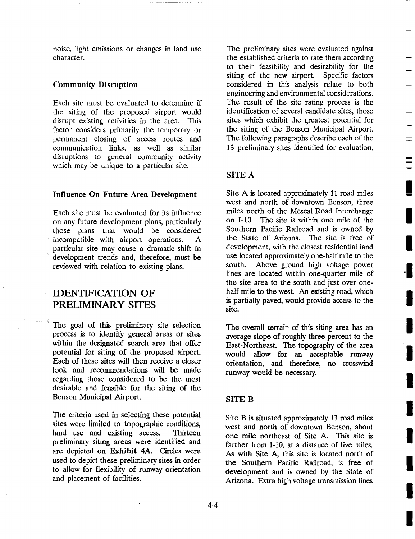noise, light emissions or changes in land use character.

#### Community Disruption

Each site must be evaluated to determine if the siting of the proposed airport would disrupt existing activities in the area. This factor considers primarily the temporary or permanent closing of access routes and communication links, as well as similar disruptions to general community activity which may be unique to a particular site.

#### Influence On Future Area Development

Each site must be evaluated for its influence on any future development plans, particularly those plans that would be considered incompatible with airport operations. A particular site may cause a dramatic shift in development trends and, therefore, must be reviewed with relation to existing plans.

## **IDENTIFICATION OF** PRELIMINARY SITES

The goal of this preliminary site selection process is to identify general areas or sites within the designated search area that offer potential for siting of the proposed airport. Each of these sites will then receive a closer look and recommendations will be made regarding those considered to be the most desirable and feasible for the siting of the Benson Municipal Airport.

The criteria used in selecting these potential sites were limited to topographic conditions, land use and existing access. Thirteen preliminary siting areas were identified and are depicted on Exhibit 4A. Circles were used to depict these preliminary sites in order to allow for flexibility of runway orientation and placement of facilities.

The preliminary sites were evaluated against the established criteria to rate them according to their feasibility and desirability for the siting of the new airport. Specific factors considered in this analysis relate to both engineering and environmental considerations. The result of the site rating process is the identification of several candidate sites, those sites which exhibit the greatest potential for the siting of the Benson Municipal Airport. The following paragraphs describe each of the 13 preliminary sites identified for evaluation.

#### SITE A

Site A is located approximately 11 road miles west and north of downtown Benson, three miles north of the Mescal Road Interchange on 1-10. The site is within one mile of the Southern Pacific Railroad and is owned by the State of Arizona. The site is free of development, with the closest residential land use located approximately one-half mile to the south. Above ground high voltage power lines are located within one-quarter mile of the site area to the south and just over onehalf mile to the west. An existing road, which is partially paved, would provide access to the site.

The overall terrain of this siting area has an average slope of roughly three percent to the East-Northeast. The topography of the area would allow for an acceptable runway orientation, and therefore, no crosswind runway would be necessary.

#### SITE B

Site B is situated approximately 13 road miles west and north of downtown Benson, about one mile northeast of Site A. This site is farther from 1-10, at a distance of five miles. As with Site A, this site is located north of the Southern Pacific. Railroad, is free of development and is owned by the State of Arizona. Extra high voltage transmission lines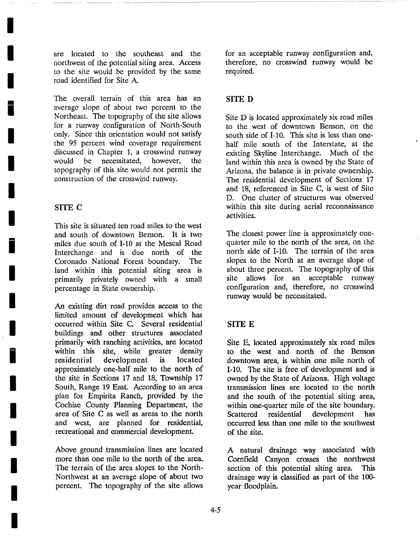are located to the southeast and the northwest of the potential siting area. Access to the site would be provided by the same road identified for Site A.

The overall terrain of this area has an average slope of about two percent to the Northeast. The topography of the site allows for a runway configuration of North-South only. Since this orientation would not satisfy the 95 percent wind coverage requirement discussed in Chapter 1, a crosswind runway would be necessitated, however, the topography of this site would not permit the construction of the crosswind runway.

## SITE C

**I** 

**I** 

**I** 

**i** 

**I** 

**I** 

**I** 

**I** 

**i** 

**I** 

**I** 

**I** 

**i** 

**I** 

**I** 

**I** 

**I** 

**I** 

**I** 

This site is situated ten road miles to the west and south of downtown Benson. It is two miles due south of 1-10 at the Mescal Road Interchange and is due north of the Coronado National Forest boundary. The land within this potential siting area is primarily privately owned with a small percentage in State ownership.

An existing dirt road provides access to the limited amount of development which has occurred within Site C. Several residential buildings and other structures associated primarily with ranching activities, are located within this site, while greater density residential development is located approximately one-half mile to the north of the site in Sections 17 and 18, Township 17 South, Range 19 East. According to an area plan for Empirita Ranch, provided by the Cochise County Planning Department, the area of Site C as well as areas to the north and west, are planned for residential, recreational and commercial development.

Above ground transmission lines are located more than one mile to the north of the area. The terrain of the area slopes to the North-Northwest at an average slope of about two percent. The topography of the site allows

for an acceptable runway configuration and, therefore, no crosswind runway would be required.

## SITE D

Site D is located approximately six road miles to the west of downtown Benson, on the south side of 1-10. This site is less than onehalf mile south of the Interstate, at the existing Skyline Interchange. Much of the land within this area is owned by the State of Arizona, the balance is in private ownership. The residential development of Sections 17 and 18, referenced in Site C, is west of Site D. One cluster of structures was observed within this site during aerial reconnaissance activities.

The closest power line is approximately onequarter mile to the north of the area, on the north side of 1-10. The terrain of the area slopes to the North at an average slope of about three percent. The topography of this site allows for an acceptable runway configuration and, therefore, no crosswind runway would be necessitated.

## SITE E

Site E, located approximately six road miles to the west and north of the Benson downtown area, is within one mile north of 1-10. The site is free of development and is owned by the State of Arizona. High voltage transmission lines are located to the north and the south of the potential siting area, within one-quarter mile of the site boundary. Scattered residential development has occurred less than one mile to the southwest of the site.

A natural drainage way associated with Cornfield Canyon crosses the northwest section of this potential siting area. This drainage way is classified as part of the 100 year floodplain.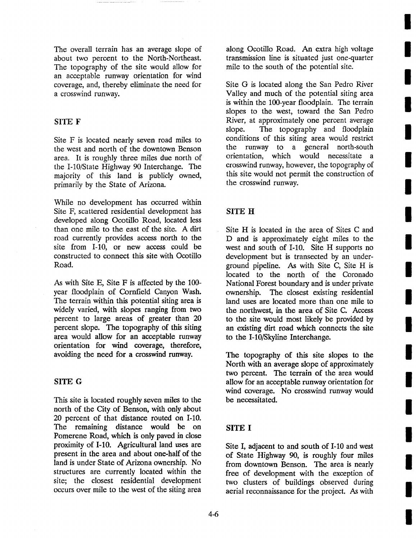The overall terrain has an average slope of about two percent to the North-Northeast. The topography of the site would allow for an acceptable runway orientation for wind coverage, and, thereby eliminate the need for a crosswind runway.

#### SITE F

Site F is located nearly seven road miles to the west and north of the downtown Benson area. It is roughly three miles due north of the 1-10/State Highway 90 Interchange. The majority of this land is publicly owned, primarily by the State of Arizona.

While no development has occurred within Site F, scattered residential development has developed along Ocotillo Road, located less than one mile to the east of the site. A dirt road currently provides access north to the site from 1-10, or new access could be constructed to connect this site with Ocotillo Road.

As with Site E, Site F is affected by the 100 year floodplain of Cornfield Canyon Wash. The terrain within this potential siting area is widely varied, with slopes ranging from two percent to large areas of greater than 20 percent slope. The topography of this siting area would allow for an acceptable runway orientation for wind coverage, therefore, avoiding the need for a crosswind runway.

#### SITE G

This site is located roughly seven miles to the north of the City of Benson, with only about 20 percent of that distance routed on 1-10. The remaining distance would be on Pomerene Road, which is only paved in close proximity of 1-10. Agricultural land uses are present in the area and about one-half of the land is under State of Arizona ownership. No structures are currently located within the site; the closest residential development occurs over mile to the west of the siting area

along Ocotillo Road. An extra high voltage transmission line is situated just one-quarter mile to the south of the potential site.

Site G is located along the San Pedro River Valley and much of the potential siting area is within the 100-year floodplain. The terrain slopes to the west, toward the San Pedro River, at approximately one percent average slope. The topography and floodplain conditions of this siting area would restrict the runway to a general north-south orientation, which would necessitate a crosswind runway, however, the topography of this site would not permit the construction of the crosswind runway.

## SITE H

Site H is located in the area of Sites C and D and is approximately eight miles to the west and south of 1-10. Site H supports no development but is transected by an underground pipeline. As with Site C, Site H is located to the north of the Coronado National Forest boundary and is under private ownership. The closest existing residential land uses are located more than one mile to the northwest, in the area of Site C. Access to the site would most likely be provided by an existing dirt road which connects the site to the 1-10/Skyline Interchange.

The topography of this site slopes to the North with an average slope of approximately two percent. The terrain of the area would allow for an acceptable runway orientation for wind coverage. No crosswind runway would be necessitated.

## SITE I

Site I, adjacent to and south of 1-10 and west of State Highway 90, is roughly four miles from downtown Benson. The area is nearly free of development with the exception of two clusters of buildings observed during aerial reconnaissance for the project. As with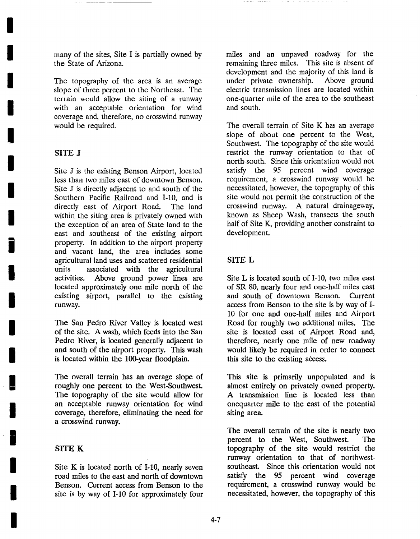many of the sites, Site I is partially owned by the State of Arizona.

The topography of the area is an average slope of three percent to the Northeast. The terrain would allow the siting of a runway with an acceptable orientation for wind coverage and, therefore, no crosswind runway would be required.

#### SITE J

**I** 

**I** 

**I** 

**I** 

**I** 

**I** 

**I** 

**I** 

**i** 

**I** 

**I** 

**I** 

**I** 

**!** 

**I** 

**I** 

**I** 

**I** 

**I** 

Site J is the existing Benson Airport, located less than two miles east of downtown Benson. Site J is directly adjacent to and south of the Southern Pacific Railroad and 1-10, and is directly east of Airport Road. The land within the siting area is privately owned with the exception of an area of State land to the east and southeast of the existing airport property. In addition to the airport property and vacant land, the area includes some agricultural land uses and scattered residential units associated with the agricultural activities. Above ground power lines are located approximately one mile north of the existing airport, parallel to the existing runway.

The San Pedro River Valley is located west of the site. A wash, which feeds into the San Pedro River, is located generally adjacent to and south of the airport property. This wash is located within the 100-year floodplain.

The overall terrain has an average slope of roughly one percent to the West-Southwest. The topography of the site would allow for an acceptable runway orientation for wind coverage, therefore, eliminating the need for a crosswind runway.

#### SITE K

Site K is located north of 1-10, nearly seven road miles to the east and north of downtown Benson. Current access from Benson to the site is by way of 1-10 for approximately four miles and an unpaved roadway for the remaining three miles. This site is absent of development and the majority of this land is under private ownership. Above ground electric transmission lines are located within one-quarter mile of the area to the southeast and south.

The overall terrain of Site K has an average slope of about one percent to the West, Southwest. The topography of the site would restrict the runway orientation to that of north-south. Since this orientation would not satisfy the 95 percent wind coverage requirement, a crosswind runway would be necessitated, however, the topography of this site would not permit the construction of the crosswind runway. A natural drainageway, known as Sheep Wash, transects the south half of Site K, providing another constraint to development.

#### SITE L

Site L is located south of 1-10, two miles east of SR 80, nearly four and one-half miles east and south of downtown Benson. Current access from Benson to the site is by way of 1- 10 for one and one-half miles and Airport Road for roughly two additional miles. The site is located east of Airport Road and, therefore, nearly one mile of new roadway would likely be required in order to connect this site to the existing access.

This site is primarily unpopulated and is almost entirely on privately owned property. A transmission line is located less than onequarter mile to the east of the potential siting area.

The overall terrain of the site is nearly two percent to the West, Southwest. The topography of the site would restrict the runway orientation to that of northwestsoutheast. Since this orientation would not satisfy the 95 percent wind coverage requirement, a crosswind runway would be necessitated, however, the topography of this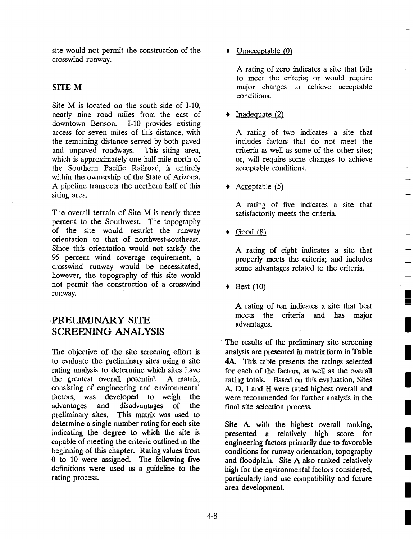$=$ 

site would not permit the construction of the crosswind runway.

#### SITE M

Site M is located on the south side of 1-10, nearly nine road miles from the east of downtown Benson. 1-10 provides existing access for seven miles of this distance, with the remaining distance served by both paved and unpaved roadways. This siting area, which is approximately one-half mile north of the Southern Pacific Railroad, is entirely within the ownership of the State of Arizona. A pipeline transects the northern half of this siting area.

The overall terrain of Site M is nearly three percent to the Southwest. The topography of the site would restrict the runway orientation to that of northwest-southeast. Since this orientation would not satisfy the 95 percent wind coverage requirement, a crosswind runway would be necessitated, however, the topography of this site would not permit the construction of a crosswind runway.

## PRELIMINARY SITE SCREENING ANALYSIS

The objective of the site screening effort is to evaluate the preliminary sites using a site rating analysis to determine which sites have the greatest overall potential. A matrix, consisting of engineering and environmental factors, was developed to weigh the advantages and disadvantages of the preliminary sites. This matrix was used to determine a single number rating for each site indicating the degree to which the site is capable of meeting the criteria outlined in the beginning of this chapter. Rating values from 0 to 10 were assigned. The following five definitions were used as a guideline to the rating process.

• Unacceptable (0)

A rating of zero indicates a site that fails to meet the criteria; or would require major changes to achieve acceptable conditions.

 $\triangleleft$  Inadequate (2)

A rating of two indicates a site that includes factors that do not meet the criteria as well as some of the other sites; or, will require some changes to achieve acceptable conditions.

 $\triangle$  Acceptable (5)

A rating of five indicates a site that satisfactorily meets the criteria.

 $\blacklozenge$  Good (8)

A rating of eight indicates a site that properly meets the criteria; and includes some advantages related to the criteria.

 $\triangleleft$  Best (10)

A rating of ten indicates a site that best meets the criteria and has major advantages.

The results of the preliminary site screening analysis are presented in matrix form in Table 4A. This table presents the ratings selected for each of the factors, as well as the overall rating totals. Based on this evaluation, Sites A, D, I and H were rated highest overall and were recommended for further analysis in the final site selection process.

Site A, with the highest overall ranking, presented a relatively high score for engineering factors primarily due to favorable conditions for runway orientation, topography and floodplain. Site A also ranked relatively high for the environmental factors considered, particularly land use compatibility and future area development.